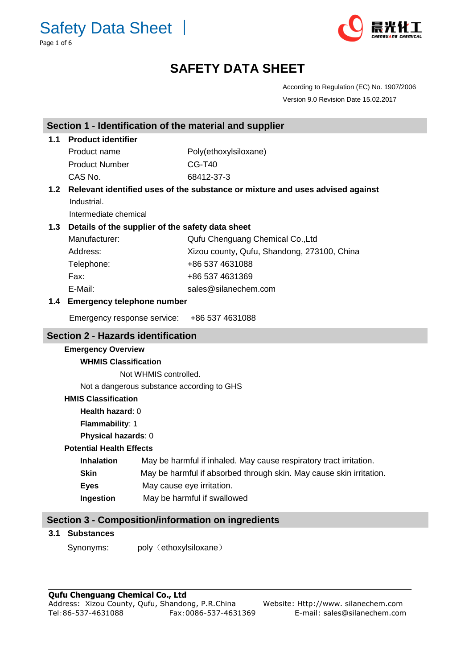Safety Data Sheet │ Page 1 of 6



# **SAFETY DATA SHEET**

According to Regulation (EC) No. 1907/2006 Version 9.0 Revision Date 15.02.2017

| Section 1 - Identification of the material and supplier   |                                                                             |                        |                                                                               |  |  |
|-----------------------------------------------------------|-----------------------------------------------------------------------------|------------------------|-------------------------------------------------------------------------------|--|--|
| 1.1                                                       | <b>Product identifier</b>                                                   |                        |                                                                               |  |  |
|                                                           | Product name                                                                |                        | Poly(ethoxylsiloxane)                                                         |  |  |
|                                                           | <b>Product Number</b>                                                       |                        | <b>CG-T40</b>                                                                 |  |  |
|                                                           | CAS No.                                                                     |                        | 68412-37-3                                                                    |  |  |
| 1.2                                                       |                                                                             |                        | Relevant identified uses of the substance or mixture and uses advised against |  |  |
|                                                           | Industrial.                                                                 |                        |                                                                               |  |  |
|                                                           | Intermediate chemical                                                       |                        |                                                                               |  |  |
| 1.3                                                       | Details of the supplier of the safety data sheet                            |                        |                                                                               |  |  |
|                                                           | Manufacturer:                                                               |                        | Qufu Chenguang Chemical Co., Ltd                                              |  |  |
|                                                           | Address:                                                                    |                        | Xizou county, Qufu, Shandong, 273100, China                                   |  |  |
|                                                           | Telephone:                                                                  |                        | +86 537 4631088                                                               |  |  |
|                                                           | Fax:                                                                        |                        | +86 537 4631369                                                               |  |  |
|                                                           | E-Mail:                                                                     |                        | sales@silanechem.com                                                          |  |  |
| 1.4                                                       | <b>Emergency telephone number</b>                                           |                        |                                                                               |  |  |
|                                                           | Emergency response service:                                                 |                        | +86 537 4631088                                                               |  |  |
|                                                           | <b>Section 2 - Hazards identification</b>                                   |                        |                                                                               |  |  |
|                                                           | <b>Emergency Overview</b>                                                   |                        |                                                                               |  |  |
|                                                           | <b>WHMIS Classification</b>                                                 |                        |                                                                               |  |  |
|                                                           | Not WHMIS controlled.                                                       |                        |                                                                               |  |  |
|                                                           | Not a dangerous substance according to GHS                                  |                        |                                                                               |  |  |
|                                                           | <b>HMIS Classification</b>                                                  |                        |                                                                               |  |  |
|                                                           | Health hazard: 0                                                            |                        |                                                                               |  |  |
|                                                           | Flammability: 1                                                             |                        |                                                                               |  |  |
|                                                           | Physical hazards: 0                                                         |                        |                                                                               |  |  |
|                                                           | <b>Potential Health Effects</b>                                             |                        |                                                                               |  |  |
|                                                           | <b>Inhalation</b>                                                           |                        | May be harmful if inhaled. May cause respiratory tract irritation.            |  |  |
|                                                           | May be harmful if absorbed through skin. May cause skin irritation.<br>Skin |                        |                                                                               |  |  |
|                                                           | May cause eye irritation.<br><b>Eyes</b>                                    |                        |                                                                               |  |  |
|                                                           | Ingestion                                                                   |                        | May be harmful if swallowed                                                   |  |  |
| <b>Section 3 - Composition/information on ingredients</b> |                                                                             |                        |                                                                               |  |  |
| 3.1                                                       | <b>Substances</b>                                                           |                        |                                                                               |  |  |
|                                                           | Synonyms:                                                                   | poly (ethoxylsiloxane) |                                                                               |  |  |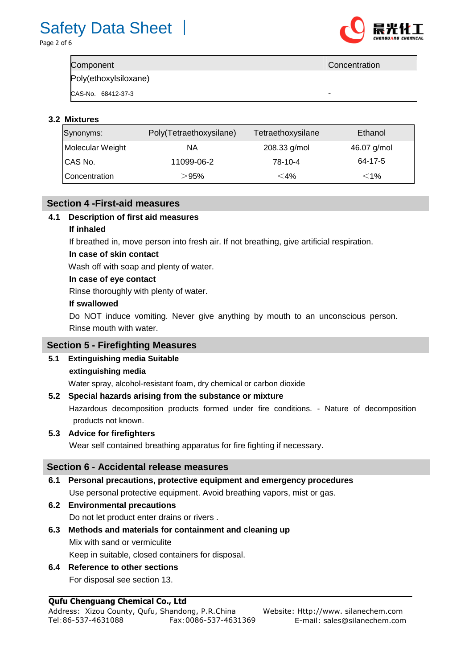

| Component             | Concentration |
|-----------------------|---------------|
| Poly(ethoxylsiloxane) |               |
| CAS-No. 68412-37-3    | -             |

### **3.2 Mixtures**

| Synonyms:        | Poly(Tetraethoxysilane) | Tetraethoxysilane | Ethanol     |
|------------------|-------------------------|-------------------|-------------|
| Molecular Weight | NA.                     | 208.33 g/mol      | 46.07 g/mol |
| ICAS No.         | 11099-06-2              | 78-10-4           | 64-17-5     |
| Concentration    | $>$ 95%                 | $<$ 4%            | $<$ 1%      |

### **Section 4 -First-aid measures**

## **4.1 Description of first aid measures**

#### **If inhaled**

If breathed in, move person into fresh air. If not breathing, give artificial respiration.

#### **In case of skin contact**

Wash off with soap and plenty of water.

#### **In case of eye contact**

Rinse thoroughly with plenty of water.

#### **If swallowed**

Do NOT induce vomiting. Never give anything by mouth to an unconscious person. Rinse mouth with water.

### **Section 5 - Firefighting Measures**

### **5.1 Extinguishing media Suitable**

### **extinguishing media**

Water spray, alcohol-resistant foam, dry chemical or carbon dioxide

### **5.2 Special hazards arising from the substance or mixture**

Hazardous decomposition products formed under fire conditions. - Nature of decomposition products not known.

### **5.3 Advice for firefighters**

Wear self contained breathing apparatus for fire fighting if necessary.

### **Section 6 - Accidental release measures**

### **6.1 Personal precautions, protective equipment and emergency procedures**

Use personal protective equipment. Avoid breathing vapors, mist or gas.

- **6.2 Environmental precautions** Do not let product enter drains or rivers .
- **6.3 Methods and materials for containment and cleaning up** Mix with sand or vermiculite Keep in suitable, closed containers for disposal.

#### **6.4 Reference to other sections** For disposal see section 13.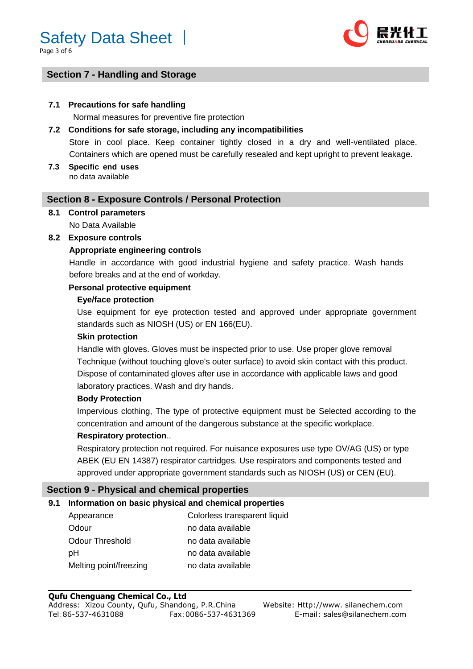Page 3 of 6



# **Section 7 - Handling and Storage**

#### **7.1 Precautions for safe handling**

Normal measures for preventive fire protection

### **7.2 Conditions for safe storage, including any incompatibilities**

Store in cool place. Keep container tightly closed in a dry and well-ventilated place. Containers which are opened must be carefully resealed and kept upright to prevent leakage.

**7.3 Specific end uses**  no data available

#### **Section 8 - Exposure Controls / Personal Protection**

# **8.1 Control parameters**

No Data Available

#### **8.2 Exposure controls**

#### **Appropriate engineering controls**

Handle in accordance with good industrial hygiene and safety practice. Wash hands before breaks and at the end of workday.

#### **Personal protective equipment**

#### **Eye/face protection**

Use equipment for eye protection tested and approved under appropriate government standards such as NIOSH (US) or EN 166(EU).

#### **Skin protection**

Handle with gloves. Gloves must be inspected prior to use. Use proper glove removal Technique (without touching glove's outer surface) to avoid skin contact with this product. Dispose of contaminated gloves after use in accordance with applicable laws and good laboratory practices. Wash and dry hands.

#### **Body Protection**

Impervious clothing, The type of protective equipment must be Selected according to the concentration and amount of the dangerous substance at the specific workplace.

#### **Respiratory protection**..

Respiratory protection not required. For nuisance exposures use type OV/AG (US) or type ABEK (EU EN 14387) respirator cartridges. Use respirators and components tested and approved under appropriate government standards such as NIOSH (US) or CEN (EU).

#### **Section 9 - Physical and chemical properties**

#### **9.1 Information on basic physical and chemical properties**

| Appearance             | Colorless transparent liquid |
|------------------------|------------------------------|
| Odour                  | no data available            |
| Odour Threshold        | no data available            |
| pН                     | no data available            |
| Melting point/freezing | no data available            |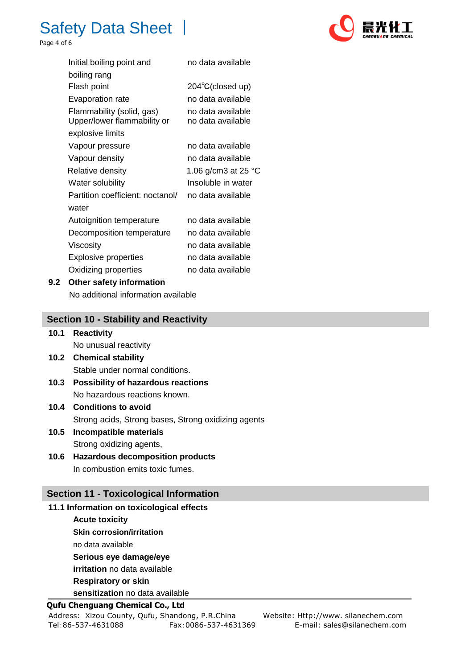

Page 4 of 6

| Initial boiling point and                                | no data available                      |
|----------------------------------------------------------|----------------------------------------|
| boiling rang                                             |                                        |
| Flash point                                              | $204^{\circ}$ C(closed up)             |
| Evaporation rate                                         | no data available                      |
| Flammability (solid, gas)<br>Upper/lower flammability or | no data available<br>no data available |
| explosive limits                                         |                                        |
| Vapour pressure                                          | no data available                      |
| Vapour density                                           | no data available                      |
| Relative density                                         | 1.06 g/cm3 at 25 °C                    |
| Water solubility                                         | Insoluble in water                     |
| Partition coefficient: noctanol/                         | no data available                      |
| water                                                    |                                        |
| Autoignition temperature                                 | no data available                      |
| Decomposition temperature                                | no data available                      |
| Viscosity                                                | no data available                      |
| <b>Explosive properties</b>                              | no data available                      |
| Oxidizing properties                                     | no data available                      |

#### **9.2 Other safety information**

No additional information available

### **Section 10 - Stability and Reactivity**

- **10.1 Reactivity** No unusual reactivity
- **10.2 Chemical stability** Stable under normal conditions.
- **10.3 Possibility of hazardous reactions** No hazardous reactions known.
- **10.4 Conditions to avoid** Strong acids, Strong bases, Strong oxidizing agents
- **10.5 Incompatible materials** Strong oxidizing agents,
- **10.6 Hazardous decomposition products** In combustion emits toxic fumes.

# **Section 11 - Toxicological Information**

#### **11.1 Information on toxicological effects**

#### **Acute toxicity**

- **Skin corrosion/irritation**
- no data available
- **Serious eye damage/eye**

**irritation** no data available

**Respiratory or skin** 

**sensitization** no data available

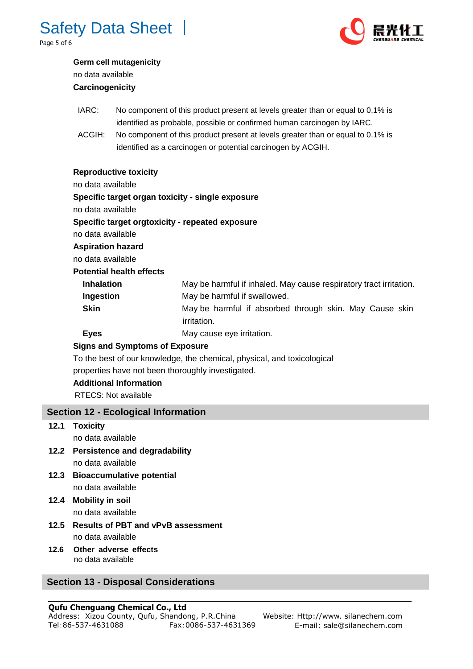

Page 5 of 6



## **Germ cell mutagenicity**  no data available

## **Carcinogenicity**

- IARC: No component of this product present at levels greater than or equal to 0.1% is identified as probable, possible or confirmed human carcinogen by IARC.
- ACGIH: No component of this product present at levels greater than or equal to 0.1% is identified as a carcinogen or potential carcinogen by ACGIH.

#### **Reproductive toxicity**

no data available

#### **Specific target organ toxicity - single exposure**

no data available

#### **Specific target orgtoxicity - repeated exposure**

no data available

**Aspiration hazard**

no data available

### **Potential health effects**

| <b>Inhalation</b> | May be harmful if inhaled. May cause respiratory tract irritation. |  |  |
|-------------------|--------------------------------------------------------------------|--|--|
| Ingestion         | May be harmful if swallowed.                                       |  |  |
| Skin              | May be harmful if absorbed through skin. May Cause skin            |  |  |
|                   | <i>irritation.</i>                                                 |  |  |

**Eyes** May cause eye irritation.

# **Signs and Symptoms of Exposure**

To the best of our knowledge, the chemical, physical, and toxicological properties have not been thoroughly investigated.

### **Additional Information**

RTECS: Not available

# **Section 12 - Ecological Information**

**12.1 Toxicity**

no data available

- **12.2 Persistence and degradability**  no data available
- **12.3 Bioaccumulative potential**  no data available
- **12.4 Mobility in soil**  no data available
- **12.5 Results of PBT and vPvB assessment**  no data available
- **12.6 Other adverse effects**  no data available

# **Section 13 - Disposal Considerations**